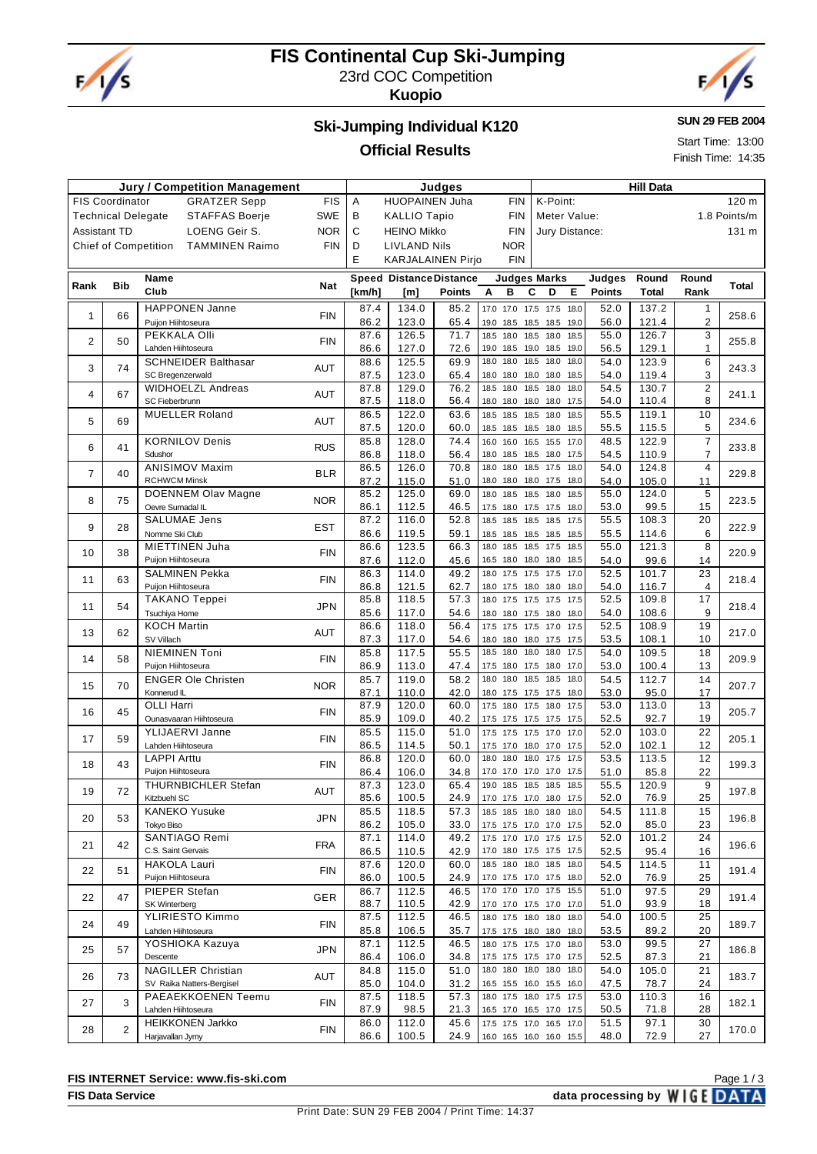

# **FIS Continental Cup Ski-Jumping** 23rd COC Competition

**Kuopio**



#### **SUN 29 FEB 2004**

Start Time: 13:00 Finish Time: 14:35

# **Ski-Jumping Individual K120**

#### **Official Results**

| <b>Jury / Competition Management</b> |                           |                                                      |            |              | Judges                         |               |                   |                        |                                                      | <b>Hill Data</b> |               |                |                                |              |  |  |
|--------------------------------------|---------------------------|------------------------------------------------------|------------|--------------|--------------------------------|---------------|-------------------|------------------------|------------------------------------------------------|------------------|---------------|----------------|--------------------------------|--------------|--|--|
|                                      | <b>FIS Coordinator</b>    | <b>GRATZER Sepp</b>                                  | <b>FIS</b> | Α            | <b>HUOPAINEN Juha</b>          |               |                   | <b>FIN</b>             | K-Point:                                             |                  |               |                |                                | 120 m        |  |  |
|                                      | <b>Technical Delegate</b> | <b>STAFFAS Boerje</b>                                | <b>SWE</b> | В            | <b>KALLIO Tapio</b>            |               |                   | <b>FIN</b>             | Meter Value:                                         |                  |               |                |                                | 1.8 Points/m |  |  |
| <b>Assistant TD</b>                  |                           | LOENG Geir S.                                        | <b>NOR</b> | C            | <b>HEINO Mikko</b>             |               |                   | <b>FIN</b>             | Jury Distance:                                       |                  |               |                |                                | 131 m        |  |  |
|                                      |                           | <b>Chief of Competition</b><br><b>TAMMINEN Raimo</b> | <b>FIN</b> | D            | <b>LIVLAND Nils</b>            |               |                   | <b>NOR</b>             |                                                      |                  |               |                |                                |              |  |  |
|                                      |                           |                                                      |            | E            | <b>KARJALAINEN Pirjo</b>       |               |                   | <b>FIN</b>             |                                                      |                  |               |                |                                |              |  |  |
|                                      |                           | Name                                                 |            |              | <b>Speed Distance Distance</b> |               |                   |                        | <b>Judges Marks</b>                                  |                  | Judges        | Round          | Round                          |              |  |  |
| Rank                                 | <b>Bib</b>                | Club                                                 | Nat        | [km/h]       | [m]                            | <b>Points</b> | Α                 | в                      | C<br>D                                               | Е                | <b>Points</b> | Total          | Rank                           | Total        |  |  |
|                                      |                           | <b>HAPPONEN Janne</b>                                |            | 87.4         |                                |               |                   |                        |                                                      |                  |               |                |                                |              |  |  |
| 1                                    | 66                        | Puijon Hiihtoseura                                   | <b>FIN</b> | 86.2         | 134.0<br>123.0                 | 85.2<br>65.4  | 17.0 17.0<br>19.0 | 18.5                   | 17.5 17.5 18.0<br>18.5 19.0                          |                  | 52.0<br>56.0  | 137.2<br>121.4 | $\mathbf{1}$<br>$\overline{c}$ | 258.6        |  |  |
|                                      |                           | PEKKALA Olli                                         |            | 87.6         | 126.5                          | 71.7          | 18.5              | 18.0                   | 18.5<br>18.0<br>18.5                                 | 18.5             | 55.0          | 126.7          | 3                              |              |  |  |
| 2                                    | 50                        | Lahden Hiihtoseura                                   | <b>FIN</b> | 86.6         | 127.0                          | 72.6          | 19.0              | 18.5                   | 19.0 18.5                                            | 19.0             | 56.5          | 129.1          | $\mathbf{1}$                   | 255.8        |  |  |
| 3                                    | 74                        | <b>SCHNEIDER Balthasar</b>                           | AUT        | 88.6         | 125.5                          | 69.9          | 18.0              | 18.0                   | 18.5<br>18.0                                         | 18.0             | 54.0          | 123.9          | 6                              | 243.3        |  |  |
|                                      |                           | SC Bregenzerwald                                     |            | 87.5         | 123.0                          | 65.4          | 18.0              | 18.0                   | 18.0<br>18.0                                         | 18.5             | 54.0          | 119.4          | 3                              |              |  |  |
| 4                                    | 67                        | <b>WIDHOELZL Andreas</b>                             | AUT        | 87.8         | 129.0                          | 76.2          | 18.5              | 18.0                   | 18.5<br>18.0                                         | 18.0             | 54.5          | 130.7          | $\overline{2}$                 | 241.1        |  |  |
|                                      |                           | SC Fieberbrunn                                       |            | 87.5         | 118.0                          | 56.4          | 18.0              | 18.0                   | 18.0 18.0 17.5                                       |                  | 54.0<br>55.5  | 110.4          | 8                              |              |  |  |
| 5                                    | 69                        | <b>MUELLER Roland</b>                                | AUT        | 86.5<br>87.5 | 122.0<br>120.0                 | 63.6<br>60.0  | 18.5<br>18.5      | 18.5 18.5<br>18.5 18.5 | 18.0<br>18.0                                         | 18.5<br>18.5     | 55.5          | 119.1<br>115.5 | 10<br>5                        | 234.6        |  |  |
|                                      |                           | <b>KORNILOV Denis</b>                                |            | 85.8         | 128.0                          | 74.4          | 16.0              | 16.0                   | 16.5 15.5 17.0                                       |                  | 48.5          | 122.9          | $\overline{7}$                 |              |  |  |
| 6                                    | 41                        | Sdushor                                              | <b>RUS</b> | 86.8         | 118.0                          | 56.4          | 18.0              | 18.5                   | 18.5<br>18.0 17.5                                    |                  | 54.5          | 110.9          | $\overline{7}$                 | 233.8        |  |  |
| $\overline{7}$                       | 40                        | <b>ANISIMOV Maxim</b>                                | <b>BLR</b> | 86.5         | 126.0                          | 70.8          | 18.0              | 18.0                   | 18.5 17.5                                            | 18.0             | 54.0          | 124.8          | $\overline{4}$                 | 229.8        |  |  |
|                                      |                           | <b>RCHWCM Minsk</b>                                  |            | 87.2         | 115.0                          | 51.0          | 18.0              |                        | 18.0 18.0 17.5 18.0                                  |                  | 54.0          | 105.0          | 11                             |              |  |  |
| 8                                    | 75                        | <b>DOENNEM Olav Magne</b>                            | <b>NOR</b> | 85.2         | 125.0                          | 69.0          | 18.0              | 18.5                   | 18.5<br>18.0                                         | 18.5             | 55.0          | 124.0          | 5                              | 223.5        |  |  |
|                                      |                           | Oevre Surnadal IL                                    |            | 86.1         | 112.5                          | 46.5          |                   |                        | 17.5 18.0 17.5 17.5 18.0                             |                  | 53.0          | 99.5<br>108.3  | 15                             |              |  |  |
| 9                                    | 28                        | <b>SALUMAE Jens</b><br>Nomme Ski Club                | <b>EST</b> | 87.2<br>86.6 | 116.0<br>119.5                 | 52.8<br>59.1  | 18.5<br>18.5      | 18.5                   | 18.5<br>18.5 17.5<br>18.5 18.5 18.5 18.5             |                  | 55.5<br>55.5  | 114.6          | 20<br>6                        | 222.9        |  |  |
|                                      |                           | <b>MIETTINEN Juha</b>                                |            | 86.6         | 123.5                          | 66.3          | 18.0              | 18.5                   | 18.5<br>17.5                                         | 18.5             | 55.0          | 121.3          | 8                              |              |  |  |
| 10                                   | 38                        | Puijon Hiihtoseura                                   | <b>FIN</b> | 87.6         | 112.0                          | 45.6          | 16.5              | 18.0                   | 18.0<br>18.0                                         | 18.5             | 54.0          | 99.6           | 14                             | 220.9        |  |  |
|                                      | 63                        | <b>SALMINEN Pekka</b>                                | <b>FIN</b> | 86.3         | 114.0                          | 49.2          | 18.0              | 17.5                   | 17.5 17.5                                            | 17.0             | 52.5          | 101.7          | 23                             | 218.4        |  |  |
| 11                                   |                           | Puijon Hiihtoseura                                   |            | 86.8         | 121.5                          | 62.7          | 18.0              | 17.5 18.0              | 18.0 18.0                                            |                  | 54.0          | 116.7          | $\overline{4}$                 |              |  |  |
| 11                                   | 54                        | TAKANO Teppei                                        | <b>JPN</b> | 85.8         | 118.5                          | 57.3          | 18.0              |                        | 17.5 17.5 17.5 17.5                                  |                  | 52.5          | 109.8          | 17                             | 218.4        |  |  |
|                                      |                           | Tsuchiya Home                                        |            | 85.6         | 117.0                          | 54.6          |                   |                        | 18.0 18.0 17.5 18.0 18.0                             |                  | 54.0          | 108.6          | 9                              |              |  |  |
| 13                                   | 62                        | <b>KOCH Martin</b><br>SV Villach                     | AUT        | 86.6<br>87.3 | 118.0<br>117.0                 | 56.4<br>54.6  | 18.0              |                        | 17.5 17.5 17.5 17.0 17.5                             |                  | 52.5<br>53.5  | 108.9<br>108.1 | 19<br>10                       | 217.0        |  |  |
|                                      |                           | NIEMINEN Toni                                        |            | 85.8         | 117.5                          | 55.5          | 18.5              | 18.0                   | 18.0 18.0 17.5 17.5<br>18.0<br>18.0                  | 17.5             | 54.0          | 109.5          | 18                             |              |  |  |
| 14                                   | 58                        | Puijon Hiihtoseura                                   | FIN        | 86.9         | 113.0                          | 47.4          |                   |                        | 17.5 18.0 17.5 18.0 17.0                             |                  | 53.0          | 100.4          | 13                             | 209.9        |  |  |
|                                      | 70                        | <b>ENGER Ole Christen</b>                            | <b>NOR</b> | 85.7         | 119.0                          | 58.2          | 18.0              | 18.0                   | 18.5<br>18.5                                         | 18.0             | 54.5          | 112.7          | 14                             |              |  |  |
| 15                                   |                           | Konnerud IL                                          |            | 87.1         | 110.0                          | 42.0          | 18.0              | 17.5 17.5              | 17.5 18.0                                            |                  | 53.0          | 95.0           | 17                             | 207.7        |  |  |
| 16                                   | 45                        | <b>OLLI Harri</b>                                    | FIN        | 87.9         | 120.0                          | 60.0          |                   | 17.5 18.0 17.5         | 18.0 17.5                                            |                  | 53.0          | 113.0          | 13                             | 205.7        |  |  |
|                                      |                           | Ounasvaaran Hiihtoseura                              |            | 85.9         | 109.0                          | 40.2          |                   |                        | 17.5 17.5 17.5 17.5 17.5                             |                  | 52.5          | 92.7           | 19                             |              |  |  |
| 17                                   | 59                        | YLIJAERVI Janne<br>Lahden Hiihtoseura                | FIN        | 85.5<br>86.5 | 115.0<br>114.5                 | 51.0<br>50.1  | 17.5<br>17.5      | 17.5 17.5              | 17.0<br>17.0 18.0 17.0 17.5                          | 17.0             | 52.0<br>52.0  | 103.0<br>102.1 | 22<br>12                       | 205.1        |  |  |
|                                      |                           | <b>LAPPI Arttu</b>                                   |            | 86.8         | 120.0                          | 60.0          | 18.0              | 18.0                   | 18.0<br>17.5                                         | 17.5             | 53.5          | 113.5          | 12                             |              |  |  |
| 18                                   | 43                        | Puijon Hiihtoseura                                   | <b>FIN</b> | 86.4         | 106.0                          | 34.8          |                   |                        | 17.0 17.0 17.0 17.0 17.5                             |                  | 51.0          | 85.8           | 22                             | 199.3        |  |  |
| 19                                   | 72                        | <b>THURNBICHLER Stefan</b>                           | AUT        | 87.3         | 123.0                          | 65.4          |                   |                        | 19.0 18.5 18.5 18.5 18.5                             |                  | 55.5          | 120.9          | 9                              | 197.8        |  |  |
|                                      |                           | Kitzbuehl SC                                         |            | 85.6         | 100.5                          | 24.9          |                   |                        | 17.0 17.5 17.0 18.0 17.5                             |                  | 52.0          | 76.9           | 25                             |              |  |  |
| 20                                   | 53                        | <b>KANEKO Yusuke</b>                                 | JPN        | 85.5         | 118.5                          | 57.3          |                   |                        | 18.5 18.5 18.0 18.0 18.0                             |                  | 54.5          | 111.8          | 15                             | 196.8        |  |  |
|                                      |                           | <b>Tokvo Biso</b><br>SANTIAGO Remi                   |            | 86.2<br>87.1 | 105.0<br>114.0                 | 33.0<br>49.2  |                   |                        | 17.5 17.5 17.0 17.0 17.5<br>17.5 17.0 17.0 17.5 17.5 |                  | 52.0<br>52.0  | 85.0<br>101.2  | 23<br>24                       |              |  |  |
| 21                                   | 42                        | C.S. Saint Gervais                                   | <b>FRA</b> | 86.5         | 110.5                          | 42.9          |                   |                        | 17.0 18.0 17.5 17.5 17.5                             |                  | 52.5          | 95.4           | 16                             | 196.6        |  |  |
|                                      |                           | <b>HAKOLA Lauri</b>                                  |            | 87.6         | 120.0                          | 60.0          |                   |                        | 18.5 18.0 18.0 18.5 18.0                             |                  | 54.5          | 114.5          | 11                             |              |  |  |
| 22                                   | 51                        | Puijon Hiihtoseura                                   | FIN        | 86.0         | 100.5                          | 24.9          |                   |                        | 17.0 17.5 17.0 17.5 18.0                             |                  | 52.0          | 76.9           | 25                             | 191.4        |  |  |
| 22                                   | 47                        | PIEPER Stefan                                        | GER        | 86.7         | 112.5                          | 46.5          |                   |                        | 17.0 17.0 17.0 17.5 15.5                             |                  | 51.0          | 97.5           | 29                             | 191.4        |  |  |
|                                      |                           | SK Winterberg                                        |            | 88.7         | 110.5                          | 42.9          |                   |                        | 17.0 17.0 17.5 17.0 17.0                             |                  | 51.0          | 93.9           | 18                             |              |  |  |
| 24                                   | 49                        | YLIRIESTO Kimmo                                      | <b>FIN</b> | 87.5         | 112.5                          | 46.5          |                   |                        | 18.0 17.5 18.0 18.0 18.0                             |                  | 54.0          | 100.5          | 25                             | 189.7        |  |  |
|                                      |                           | Lahden Hiihtoseura<br>YOSHIOKA Kazuya                |            | 85.8<br>87.1 | 106.5<br>112.5                 | 35.7<br>46.5  |                   |                        | 17.5 17.5 18.0 18.0 18.0<br>18.0 17.5 17.5 17.0 18.0 |                  | 53.5<br>53.0  | 89.2<br>99.5   | 20<br>27                       |              |  |  |
| 25                                   | 57                        | Descente                                             | JPN        | 86.4         | 106.0                          | 34.8          |                   |                        | 17.5 17.5 17.5 17.0 17.5                             |                  | 52.5          | 87.3           | 21                             | 186.8        |  |  |
|                                      |                           | <b>NAGILLER Christian</b>                            |            | 84.8         | 115.0                          | 51.0          |                   |                        | 18.0 18.0 18.0 18.0 18.0                             |                  | 54.0          | 105.0          | 21                             |              |  |  |
| 26                                   | 73                        | SV Raika Natters-Bergisel                            | AUT        | 85.0         | 104.0                          | 31.2          |                   |                        | 16.5 15.5 16.0 15.5 16.0                             |                  | 47.5          | 78.7           | 24                             | 183.7        |  |  |
| 27                                   | 3                         | PAEAEKKOENEN Teemu                                   | <b>FIN</b> | 87.5         | 118.5                          | 57.3          |                   |                        | 18.0 17.5 18.0 17.5 17.5                             |                  | 53.0          | 110.3          | 16                             | 182.1        |  |  |
|                                      |                           | Lahden Hiihtoseura                                   |            | 87.9         | 98.5                           | 21.3          |                   |                        | 16.5 17.0 16.5 17.0 17.5                             |                  | 50.5          | 71.8           | 28                             |              |  |  |
| 28                                   | $\overline{2}$            | <b>HEIKKONEN Jarkko</b>                              | FIN        | 86.0         | 112.0                          | 45.6          |                   |                        | 17.5 17.5 17.0 16.5 17.0                             |                  | 51.5          | 97.1           | 30                             | 170.0        |  |  |
|                                      |                           | Harjavallan Jymy                                     |            | 86.6         | 100.5                          | 24.9          |                   |                        | 16.0 16.5 16.0 16.0 15.5                             |                  | 48.0          | 72.9           | 27                             |              |  |  |

**FIS Data Service data processing by**  $WIGE$  **DATA** Page 1 / 3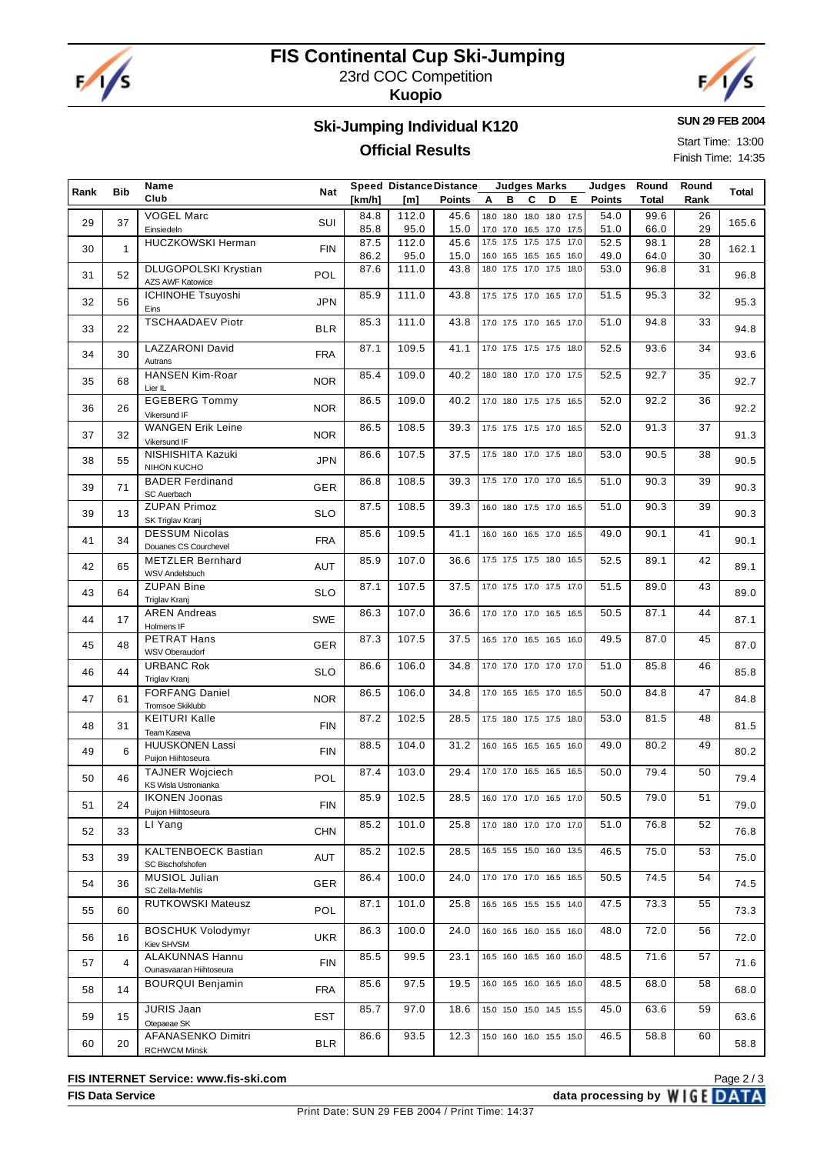

# **FIS Continental Cup Ski-Jumping** 23rd COC Competition

**Kuopio**



**SUN 29 FEB 2004**

Start Time: 13:00 Finish Time: 14:35

#### **Ski-Jumping Individual K120**

### **Official Results**

| Rank | Bib            | Name<br>Club                                      | Nat        | [km/h]       | <b>Speed Distance Distance</b><br>[m] | Points       | Α | <b>Judges Marks</b><br>в                             | C | D | Е. | Judges<br><b>Points</b> | Round<br>Total | Round<br>Rank | Total |
|------|----------------|---------------------------------------------------|------------|--------------|---------------------------------------|--------------|---|------------------------------------------------------|---|---|----|-------------------------|----------------|---------------|-------|
| 29   | 37             | <b>VOGEL Marc</b><br>Einsiedeln                   | SUI        | 84.8<br>85.8 | 112.0<br>95.0                         | 45.6<br>15.0 |   | 18.0 18.0 18.0 18.0 17.5<br>17.0 17.0 16.5 17.0 17.5 |   |   |    | 54.0<br>51.0            | 99.6<br>66.0   | 26<br>29      | 165.6 |
| 30   | $\mathbf{1}$   | <b>HUCZKOWSKI Herman</b>                          | <b>FIN</b> | 87.5<br>86.2 | 112.0<br>95.0                         | 45.6<br>15.0 |   | 17.5 17.5 17.5 17.5 17.0<br>16.0 16.5 16.5 16.5 16.0 |   |   |    | 52.5<br>49.0            | 98.1<br>64.0   | 28<br>30      | 162.1 |
| 31   | 52             | DLUGOPOLSKI Krystian<br>AZS AWF Katowice          | POL        | 87.6         | 111.0                                 | 43.8         |   | 18.0 17.5 17.0 17.5 18.0                             |   |   |    | 53.0                    | 96.8           | 31            | 96.8  |
| 32   | 56             | ICHINOHE Tsuyoshi<br>Eins                         | <b>JPN</b> | 85.9         | 111.0                                 | 43.8         |   | 17.5 17.5 17.0 16.5 17.0                             |   |   |    | 51.5                    | 95.3           | 32            | 95.3  |
| 33   | 22             | <b>TSCHAADAEV Piotr</b>                           | <b>BLR</b> | 85.3         | 111.0                                 | 43.8         |   | 17.0 17.5 17.0 16.5 17.0                             |   |   |    | 51.0                    | 94.8           | 33            | 94.8  |
| 34   | 30             | <b>LAZZARONI David</b><br>Autrans                 | <b>FRA</b> | 87.1         | 109.5                                 | 41.1         |   | 17.0 17.5 17.5 17.5 18.0                             |   |   |    | 52.5                    | 93.6           | 34            | 93.6  |
| 35   | 68             | <b>HANSEN Kim-Roar</b><br>Lier IL                 | <b>NOR</b> | 85.4         | 109.0                                 | 40.2         |   | 18.0 18.0 17.0 17.0 17.5                             |   |   |    | 52.5                    | 92.7           | 35            | 92.7  |
| 36   | 26             | <b>EGEBERG Tommy</b><br>Vikersund IF              | <b>NOR</b> | 86.5         | 109.0                                 | 40.2         |   | 17.0 18.0 17.5 17.5 16.5                             |   |   |    | 52.0                    | 92.2           | 36            | 92.2  |
| 37   | 32             | <b>WANGEN Erik Leine</b><br>Vikersund IF          | <b>NOR</b> | 86.5         | 108.5                                 | 39.3         |   | 17.5 17.5 17.5 17.0 16.5                             |   |   |    | 52.0                    | 91.3           | 37            | 91.3  |
| 38   | 55             | NISHISHITA Kazuki<br>NIHON KUCHO                  | <b>JPN</b> | 86.6         | 107.5                                 | 37.5         |   | 17.5 18.0 17.0 17.5 18.0                             |   |   |    | 53.0                    | 90.5           | 38            | 90.5  |
| 39   | 71             | <b>BADER Ferdinand</b><br>SC Auerbach             | <b>GER</b> | 86.8         | 108.5                                 | 39.3         |   | 17.5 17.0 17.0 17.0 16.5                             |   |   |    | 51.0                    | 90.3           | 39            | 90.3  |
| 39   | 13             | <b>ZUPAN Primoz</b><br>SK Triglav Kranj           | <b>SLO</b> | 87.5         | 108.5                                 | 39.3         |   | 16.0 18.0 17.5 17.0 16.5                             |   |   |    | 51.0                    | 90.3           | 39            | 90.3  |
| 41   | 34             | <b>DESSUM Nicolas</b><br>Douanes CS Courchevel    | <b>FRA</b> | 85.6         | 109.5                                 | 41.1         |   | 16.0 16.0 16.5 17.0 16.5                             |   |   |    | 49.0                    | 90.1           | 41            | 90.1  |
| 42   | 65             | <b>METZLER Bernhard</b><br><b>WSV Andelsbuch</b>  | AUT        | 85.9         | 107.0                                 | 36.6         |   | 17.5 17.5 17.5 18.0 16.5                             |   |   |    | 52.5                    | 89.1           | 42            | 89.1  |
| 43   | 64             | <b>ZUPAN Bine</b><br>Triglav Kranj                | <b>SLO</b> | 87.1         | 107.5                                 | 37.5         |   | 17.0 17.5 17.0 17.5 17.0                             |   |   |    | 51.5                    | 89.0           | 43            | 89.0  |
| 44   | 17             | <b>AREN Andreas</b><br>Holmens IF                 | <b>SWE</b> | 86.3         | 107.0                                 | 36.6         |   | 17.0 17.0 17.0 16.5 16.5                             |   |   |    | 50.5                    | 87.1           | 44            | 87.1  |
| 45   | 48             | PETRAT Hans<br>WSV Oberaudorf                     | GER        | 87.3         | 107.5                                 | 37.5         |   | 16.5 17.0 16.5 16.5 16.0                             |   |   |    | 49.5                    | 87.0           | 45            | 87.0  |
| 46   | 44             | <b>URBANC Rok</b><br>Triglav Kranj                | <b>SLO</b> | 86.6         | 106.0                                 | 34.8         |   | 17.0 17.0 17.0 17.0 17.0                             |   |   |    | 51.0                    | 85.8           | 46            | 85.8  |
| 47   | 61             | <b>FORFANG Daniel</b><br>Tromsoe Skiklubb         | <b>NOR</b> | 86.5         | 106.0                                 | 34.8         |   | 17.0 16.5 16.5 17.0 16.5                             |   |   |    | 50.0                    | 84.8           | 47            | 84.8  |
| 48   | 31             | <b>KEITURI Kalle</b><br>Team Kaseva               | <b>FIN</b> | 87.2         | 102.5                                 | 28.5         |   | 17.5 18.0 17.5 17.5 18.0                             |   |   |    | 53.0                    | 81.5           | 48            | 81.5  |
| 49   | 6              | <b>HUUSKONEN Lassi</b><br>Puijon Hiihtoseura      | <b>FIN</b> | 88.5         | 104.0                                 | 31.2         |   | 16.0 16.5 16.5 16.5 16.0                             |   |   |    | 49.0                    | 80.2           | 49            | 80.2  |
| 50   | 46             | <b>TAJNER Wojciech</b><br>KS Wisla Ustronianka    | POL        | 87.4         | 103.0                                 | 29.4         |   | 17.0 17.0 16.5 16.5 16.5                             |   |   |    | 50.0                    | 79.4           | 50            | 79.4  |
| 51   | 24             | <b>IKONEN Joonas</b><br>Puijon Hiihtoseura        | <b>FIN</b> | 85.9         | 102.5                                 | 28.5         |   | 16.0 17.0 17.0 16.5 17.0                             |   |   |    | 50.5                    | 79.0           | 51            | 79.0  |
| 52   | 33             | LI Yang                                           | <b>CHN</b> | 85.2         | 101.0                                 | 25.8         |   | 17.0 18.0 17.0 17.0 17.0                             |   |   |    | 51.0                    | 76.8           | 52            | 76.8  |
| 53   | 39             | <b>KALTENBOECK Bastian</b><br>SC Bischofshofen    | AUT        | 85.2         | 102.5                                 | 28.5         |   | 16.5 15.5 15.0 16.0 13.5                             |   |   |    | 46.5                    | 75.0           | 53            | 75.0  |
| 54   | 36             | MUSIOL Julian<br>SC Zella-Mehlis                  | <b>GER</b> | 86.4         | 100.0                                 | 24.0         |   | 17.0 17.0 17.0 16.5 16.5                             |   |   |    | 50.5                    | 74.5           | 54            | 74.5  |
| 55   | 60             | RUTKOWSKI Mateusz                                 | POL        | 87.1         | 101.0                                 | 25.8         |   | 16.5 16.5 15.5 15.5 14.0                             |   |   |    | 47.5                    | 73.3           | 55            | 73.3  |
| 56   | 16             | <b>BOSCHUK Volodymyr</b><br>Kiev SHVSM            | <b>UKR</b> | 86.3         | 100.0                                 | 24.0         |   | 16.0 16.5 16.0 15.5 16.0                             |   |   |    | 48.0                    | 72.0           | 56            | 72.0  |
| 57   | $\overline{4}$ | <b>ALAKUNNAS Hannu</b><br>Ounasvaaran Hiihtoseura | <b>FIN</b> | 85.5         | 99.5                                  | 23.1         |   | 16.5 16.0 16.5 16.0 16.0                             |   |   |    | 48.5                    | 71.6           | 57            | 71.6  |
| 58   | 14             | <b>BOURQUI Benjamin</b>                           | <b>FRA</b> | 85.6         | 97.5                                  | 19.5         |   | 16.0 16.5 16.0 16.5 16.0                             |   |   |    | 48.5                    | 68.0           | 58            | 68.0  |
| 59   | 15             | JURIS Jaan<br>Otepaeae SK                         | EST        | 85.7         | 97.0                                  | 18.6         |   | 15.0 15.0 15.0 14.5 15.5                             |   |   |    | 45.0                    | 63.6           | 59            | 63.6  |
| 60   | 20             | AFANASENKO Dimitri<br><b>RCHWCM Minsk</b>         | <b>BLR</b> | 86.6         | 93.5                                  | 12.3         |   | 15.0 16.0 16.0 15.5 15.0                             |   |   |    | 46.5                    | 58.8           | 60            | 58.8  |

**FIS INTERNET Service: www.fis-ski.com**

**FIS Data Service data processing by**  $WIGE$  **DATA** Page 2 / 3